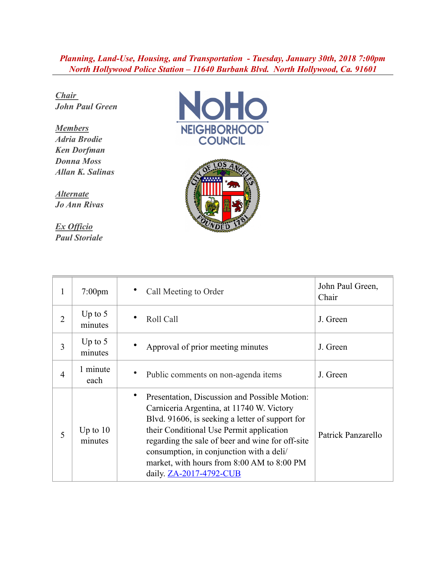## *Planning, Land-Use, Housing, and Transportation - Tuesday, January 30th, 2018 7:00pm North Hollywood Police Station – 11640 Burbank Blvd. North Hollywood, Ca. 91601*

*Chair John Paul Green*

*Members Adria Brodie Ken Dorfman Donna Moss Allan K. Salinas*

*Alternate Jo Ann Rivas*

*Ex Officio Paul Storiale*





| 1              | $7:00 \text{pm}$      | Call Meeting to Order                                                                                                                                                                                                                                                                                                                                              | John Paul Green,<br>Chair |
|----------------|-----------------------|--------------------------------------------------------------------------------------------------------------------------------------------------------------------------------------------------------------------------------------------------------------------------------------------------------------------------------------------------------------------|---------------------------|
| $\overline{2}$ | Up to $5$<br>minutes  | Roll Call                                                                                                                                                                                                                                                                                                                                                          | J. Green                  |
| 3              | Up to $5$<br>minutes  | Approval of prior meeting minutes                                                                                                                                                                                                                                                                                                                                  | J. Green                  |
| $\overline{4}$ | 1 minute<br>each      | Public comments on non-agenda items                                                                                                                                                                                                                                                                                                                                | J. Green                  |
| 5              | Up to $10$<br>minutes | Presentation, Discussion and Possible Motion:<br>Carniceria Argentina, at 11740 W. Victory<br>Blvd. 91606, is seeking a letter of support for<br>their Conditional Use Permit application<br>regarding the sale of beer and wine for off-site<br>consumption, in conjunction with a deli/<br>market, with hours from 8:00 AM to 8:00 PM<br>daily. ZA-2017-4792-CUB | Patrick Panzarello        |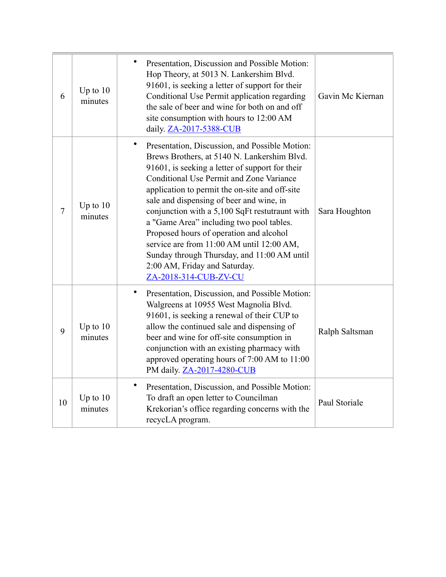| 6      | Up to $10$<br>minutes | ٠<br>Presentation, Discussion and Possible Motion:<br>Hop Theory, at 5013 N. Lankershim Blvd.<br>91601, is seeking a letter of support for their<br>Conditional Use Permit application regarding<br>the sale of beer and wine for both on and off<br>site consumption with hours to 12:00 AM<br>daily. ZA-2017-5388-CUB                                                                                                                                                                                                                                                                   | Gavin Mc Kiernan |
|--------|-----------------------|-------------------------------------------------------------------------------------------------------------------------------------------------------------------------------------------------------------------------------------------------------------------------------------------------------------------------------------------------------------------------------------------------------------------------------------------------------------------------------------------------------------------------------------------------------------------------------------------|------------------|
| $\tau$ | Up to $10$<br>minutes | Presentation, Discussion, and Possible Motion:<br>Brews Brothers, at 5140 N. Lankershim Blvd.<br>91601, is seeking a letter of support for their<br>Conditional Use Permit and Zone Variance<br>application to permit the on-site and off-site<br>sale and dispensing of beer and wine, in<br>conjunction with a 5,100 SqFt restutraunt with<br>a "Game Area" including two pool tables.<br>Proposed hours of operation and alcohol<br>service are from 11:00 AM until 12:00 AM,<br>Sunday through Thursday, and 11:00 AM until<br>2:00 AM, Friday and Saturday.<br>ZA-2018-314-CUB-ZV-CU | Sara Houghton    |
| 9      | Up to $10$<br>minutes | ٠<br>Presentation, Discussion, and Possible Motion:<br>Walgreens at 10955 West Magnolia Blvd.<br>91601, is seeking a renewal of their CUP to<br>allow the continued sale and dispensing of<br>beer and wine for off-site consumption in<br>conjunction with an existing pharmacy with<br>approved operating hours of 7:00 AM to 11:00<br>PM daily. ZA-2017-4280-CUB                                                                                                                                                                                                                       | Ralph Saltsman   |
| 10     | Up to $10$<br>minutes | $\bullet$<br>Presentation, Discussion, and Possible Motion:<br>To draft an open letter to Councilman<br>Krekorian's office regarding concerns with the<br>recycLA program.                                                                                                                                                                                                                                                                                                                                                                                                                | Paul Storiale    |